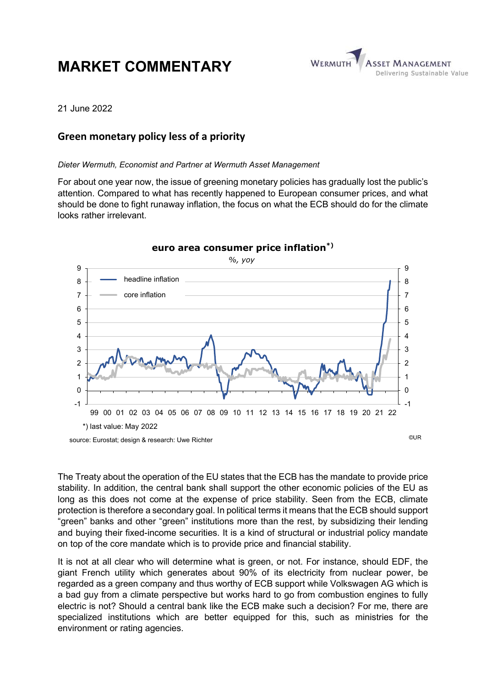# MARKET COMMENTARY



21 June 2022

## Green monetary policy less of a priority

Dieter Wermuth, Economist and Partner at Wermuth Asset Management

For about one year now, the issue of greening monetary policies has gradually lost the public's attention. Compared to what has recently happened to European consumer prices, and what should be done to fight runaway inflation, the focus on what the ECB should do for the climate looks rather irrelevant.



The Treaty about the operation of the EU states that the ECB has the mandate to provide price stability. In addition, the central bank shall support the other economic policies of the EU as long as this does not come at the expense of price stability. Seen from the ECB, climate protection is therefore a secondary goal. In political terms it means that the ECB should support "green" banks and other "green" institutions more than the rest, by subsidizing their lending and buying their fixed-income securities. It is a kind of structural or industrial policy mandate on top of the core mandate which is to provide price and financial stability.

It is not at all clear who will determine what is green, or not. For instance, should EDF, the giant French utility which generates about 90% of its electricity from nuclear power, be regarded as a green company and thus worthy of ECB support while Volkswagen AG which is a bad guy from a climate perspective but works hard to go from combustion engines to fully electric is not? Should a central bank like the ECB make such a decision? For me, there are specialized institutions which are better equipped for this, such as ministries for the environment or rating agencies.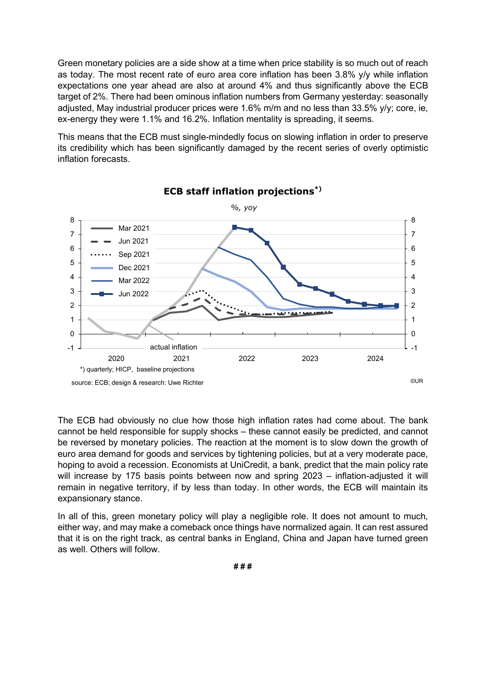Green monetary policies are a side show at a time when price stability is so much out of reach as today. The most recent rate of euro area core inflation has been 3.8% y/y while inflation expectations one year ahead are also at around 4% and thus significantly above the ECB target of 2%. There had been ominous inflation numbers from Germany yesterday: seasonally adjusted, May industrial producer prices were 1.6% m/m and no less than 33.5% y/y; core, ie, ex-energy they were 1.1% and 16.2%. Inflation mentality is spreading, it seems.

This means that the ECB must single-mindedly focus on slowing inflation in order to preserve its credibility which has been significantly damaged by the recent series of overly optimistic inflation forecasts.



ECB staff inflation projections\*)

The ECB had obviously no clue how those high inflation rates had come about. The bank cannot be held responsible for supply shocks – these cannot easily be predicted, and cannot be reversed by monetary policies. The reaction at the moment is to slow down the growth of euro area demand for goods and services by tightening policies, but at a very moderate pace, hoping to avoid a recession. Economists at UniCredit, a bank, predict that the main policy rate will increase by 175 basis points between now and spring 2023 – inflation-adjusted it will remain in negative territory, if by less than today. In other words, the ECB will maintain its expansionary stance.

In all of this, green monetary policy will play a negligible role. It does not amount to much, either way, and may make a comeback once things have normalized again. It can rest assured that it is on the right track, as central banks in England, China and Japan have turned green as well. Others will follow.